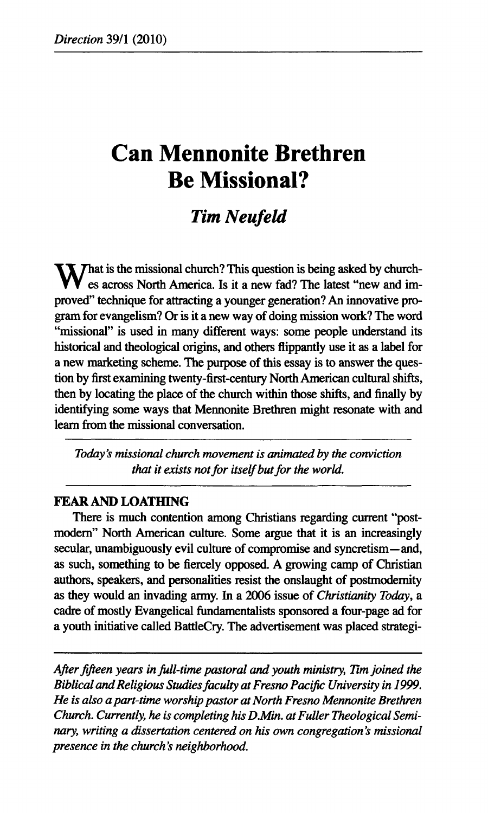# **Can Mennonite Brethren Be Missional?**

# *Tim Neufeld*

 $M$ hat is the missional church? This question is being asked by churches across North America. Is it a new fad? The latest "new and improved" technique for attracting a younger generation? An innovative program for evangelism? Or is it a new way of doing mission work? The word "missional" is used in many different ways: some people understand its historical and theological origins, and others flippantly use it as a label for a new marketing scheme. The purpose of this essay is to answer the question by first examining twenty-first-century North American cultural shifts, then by locating the place of the church within those shifts, and finally by identifying some ways that Mennonite Brethren might resonate with and learn from the missional conversation.

*Today's missional church movement is animated by the conviction that it exists not for itself but for the world.* 

# **FEAR AND LOATHING**

There is much contention among Christians regarding current "postmodern" North American culture. Some argue that it is an increasingly secular, unambiguously evil culture of compromise and syncretism—and, as such, something to be fiercely opposed. A growing camp of Christian authors, speakers, and personalities resist the onslaught of postmodernity as they would an invading army. In a 2006 issue of *Christianity Today,* a cadre of mostly Evangelical fundamentalists sponsored a four-page ad for a youth initiative called BattleCry. The advertisement was placed strategi-

*After fifteen years in full-time pastoral and youth ministry, Tim joined the Biblical and Religious Studies faculty at Fresno Pacific University in 1999. He is also apart-time worship pastor at North Fresno Mennonite Brethren*  Church. Currently, he is completing his D.Min. at Fuller Theological Seminary, writing a dissertation centered on his own congregation's missional *presence in the church's neighborhood.*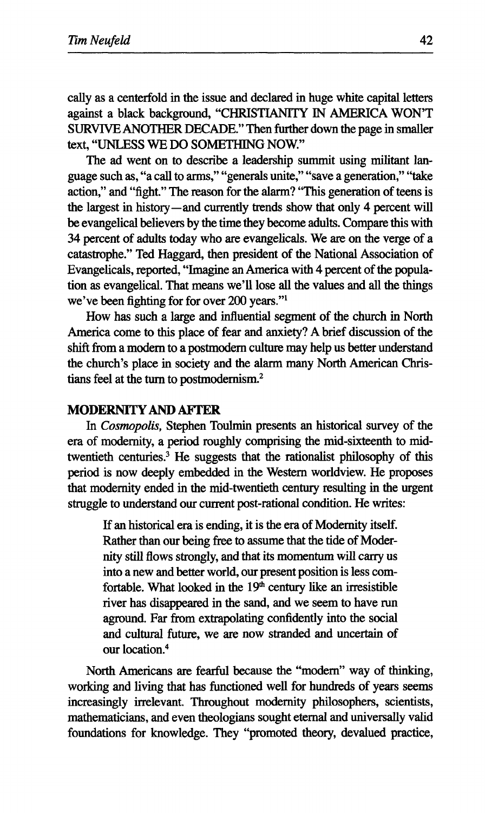cally as a centerfold in the issue and declared in huge white capital letters against a black background, "CHRISTIANITY IN AMERICA WON'T SURVIVE ANOTHER DECADE." Then further down the page in smaller text, "UNLESS WE DO SOMETHING NOW."

The ad went on to describe a leadership summit using militant language such as, "a call to arms," "generals unite," "save a generation," "take action," and "fight." The reason for the alarm? "This generation of teens is the largest in history—and currently trends show that only 4 percent will be evangelical believers by the time they become adults. Compare this with 34 percent of adults today who are evangelicals. We are on the verge of a catastrophe." Ted Haggard, then president of the National Association of Evangelicals, reported, "Imagine an America with 4 percent of the population as evangelical. That means we'll lose all the values and all the things we've been fighting for for over 200 years."<sup>1</sup>

How has such a large and influential segment of the church in North America come to this place of fear and anxiety? A brief discussion of the shift from a modern to a postmodern culture may help us better understand the church's place in society and the alarm many North American Christians feel at the turn to postmodernism.<sup>2</sup>

## **MODERNITY AND AFTER**

In *Cosmopolis,* Stephen Toulmin presents an historical survey of the era of modernity, a period roughly comprising the mid-sixteenth to midtwentieth centuries.<sup>3</sup> He suggests that the rationalist philosophy of this period is now deeply embedded in the Western worldview. He proposes that modernity ended in the mid-twentieth century resulting in the urgent struggle to understand our current post-rational condition. He writes:

If an historical era is ending, it is the era of Modernity itself. Rather than our being free to assume that the tide of Modernity still flows strongly, and that its momentum will carry us into a new and better world, our present position is less comfortable. What looked in the  $19<sup>th</sup>$  century like an irresistible river has disappeared in the sand, and we seem to have run aground. Far from extrapolating confidently into the social and cultural future, we are now stranded and uncertain of our location.<sup>4</sup>

North Americans are fearful because the "modern" way of thinking, working and living that has functioned well for hundreds of years seems increasingly irrelevant. Throughout modernity philosophers, scientists, mathematicians, and even theologians sought eternal and universally valid foundations for knowledge. They "promoted theory, devalued practice,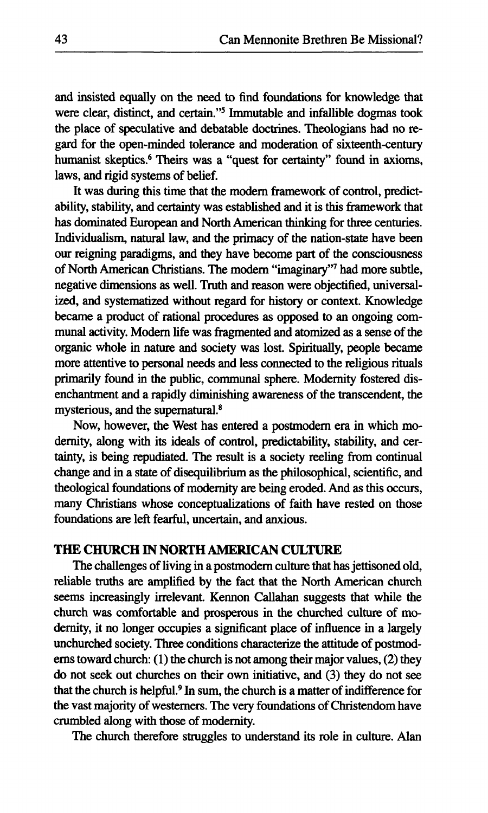**and insisted equally on the need to find foundations for knowledge that were clear, distinct, and certain."<sup>5</sup> Immutable and infallible dogmas took the place of speculative and debatable doctrines. Theologians had no regard for the open-minded tolerance and moderation of sixteenth-century humanist skeptics.<sup>6</sup> Theirs was a "quest for certainty" found in axioms, laws, and rigid systems of belief.** 

**It was during this time that the modern framework of control, predictability, stability, and certainty was established and it is this framework that has dominated European and North American thinking for three centuries. Individualism, natural law, and the primacy of the nation-state have been our reigning paradigms, and they have become part of the consciousness of North American Christians. The modem "imaginary"<sup>7</sup> had more subtle, negative dimensions as well. Truth and reason were objectified, universalized, and systematized without regard for history or context. Knowledge became a product of rational procedures as opposed to an ongoing communal activity. Modern Ufe was fragmented and atomized as a sense of the organic whole in nature and society was lost. Spiritually, people became more attentive to personal needs and less connected to the religious rituals primarily found in the public, communal sphere. Modernity fostered disenchantment and a rapidly diminishing awareness of the transcendent, the mysterious, and the supernatural.<sup>8</sup>**

**Now, however, the West has entered a postmodern era in which modernity, along with its ideals of control, predictability, stability, and certainty, is being repudiated. The result is a society reeling from continual change and in a state of disequilibrium as the philosophical, scientific, and theological foundations of modernity are being eroded. And as this occurs, many Christians whose conceptualizations of faith have rested on those foundations are left fearful, uncertain, and anxious.** 

#### **THE CHURCH IN NORTH AMERICAN CULTURE**

**The challenges of living in a postmodern culture that has jettisoned old, reliable truths are amplified by the fact that the North American church seems increasingly irrelevant. Kennon Callahan suggests that while the church was comfortable and prosperous in the churched culture of modernity, it no longer occupies a significant place of influence in a largely unchurched society. Three conditions characterize the attitude of postmoderne toward church: (1) the church is not among their major values, (2) they do not seek out churches on their own initiative, and (3) they do not see that the church is helpful.<sup>9</sup> In sum, the church is a matter of indifference for the vast majority of westerners. The very foundations of Christendom have crumbled along with those of modernity.** 

**The church therefore struggles to understand its role in culture. Alan**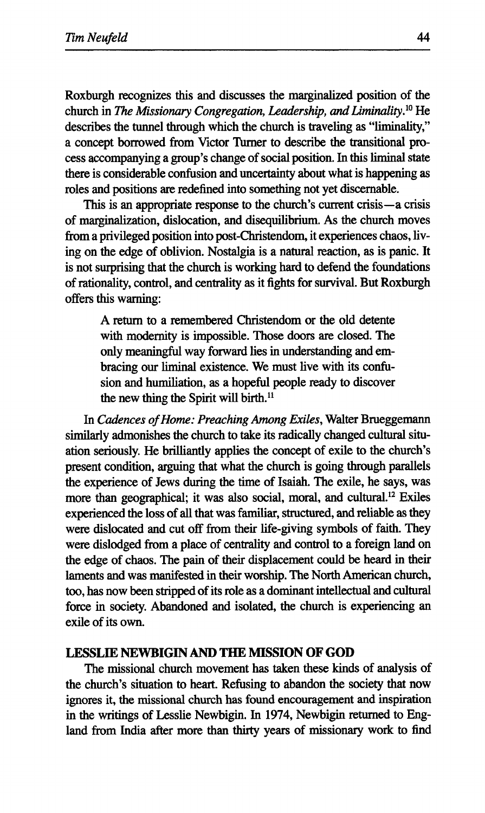Roxburgh recognizes this and discusses the marginalized position of the church in *The Missionary Congregation, Leadership, and Liminality.<sup>10</sup>* He describes the tunnel through which the church is traveling as "liminality," a concept borrowed from Victor Turner to describe the transitional process accompanying a group's change of social position. In this liminal state there is considerable confusion and uncertainty about what is happening as roles and positions are redefined into something not yet discernable.

This is an appropriate response to the church's current crisis—a crisis of marginalization, dislocation, and disequilibrium. As the church moves from a privileged position into post-Christendom, it experiences chaos, living on the edge of oblivion. Nostalgia is a natural reaction, as is panic. It is not surprising that the church is working hard to defend the foundations of rationality, control, and centrality as it fights for survival. But Roxburgh offers this warning:

A return to a remembered Christendom or the old detente with modernity is impossible. Those doors are closed. The only meaningful way forward lies in understanding and embracing our liminal existence. We must live with its confusion and humiliation, as a hopeful people ready to discover the new thing the Spirit will birth.<sup>11</sup>

In *Cadences of Home: Preaching Among Exiles,* Walter Brueggemann similarly admonishes the church to take its radically changed cultural situation seriously. He brilliantly applies the concept of exile to the church's present condition, arguing that what the church is going through parallels the experience of Jews during the time of Isaiah. The exile, he says, was more than geographical; it was also social, moral, and cultural.<sup>12</sup> Exiles experienced the loss of all that was familiar, structured, and reliable as they were dislocated and cut off from their life-giving symbols of faith. They were dislodged from a place of centrality and control to a foreign land on the edge of chaos. The pain of their displacement could be heard in their laments and was manifested in their worship. The North American church, too, has now been stripped of its role as a dominant intellectual and cultural force in society. Abandoned and isolated, the church is experiencing an exile of its own.

#### **LESSLIE NEWBIGIN AND THE MISSION OF GOD**

The missional church movement has taken these kinds of analysis of the church's situation to heart. Refusing to abandon the society that now ignores it, the missional church has found encouragement and inspiration in the writings of Lesslie Newbigin. In 1974, Newbigin returned to England from India after more than thirty years of missionary work to find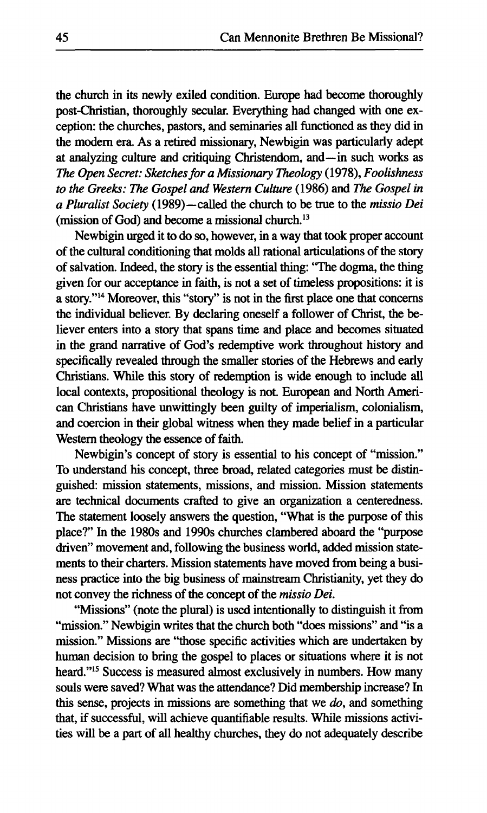**the church in its newly exiled condition. Europe had become thoroughly post-Christian, thoroughly secular. Everything had changed with one exception: the churches, pastors, and seminaries all functioned as they did in the modern era. As a retired missionary, Newbigin was particularly adept at analyzing culture and critiquing Christendom, and—in such works as**  *The Open Secret: Sketches for a Missionary Theology* (1978), *Foolishness* to the Greeks: The Gospel and Western Culture (1986) and The Gospel in *a Pluralist Society* **(1989)—called the church to be true to the** *missio Dei*  **(mission of God) and become a missional church.<sup>13</sup>**

**Newbigin urged it to do so, however, in a way that took proper account of the cultural conditioning that molds all rational articulations of the story of salvation. Indeed, the story is the essential thing: "The dogma, the thing given for our acceptance in faith, is not a set of timeless propositions: it is a story."<sup>14</sup> Moreover, this "story" is not in the first place one that concerns the individual believer. By declaring oneself a follower of Christ, the believer enters into a story that spans time and place and becomes situated in the grand narrative of God's redemptive work throughout history and specifically revealed through the smaller stories of the Hebrews and early Christians. While this story of redemption is wide enough to include all local contexts, propositional theology is not. European and North American Christians have unwittingly been guilty of imperialism, colonialism, and coercion in their global witness when they made belief in a particular Western theology the essence of faith.** 

**Newbigin's concept of story is essential to his concept of "mission." To understand his concept, three broad, related categories must be distinguished: mission statements, missions, and mission. Mission statements are technical documents crafted to give an organization a centeredness. The statement loosely answers the question, "What is the purpose of this place?" In the 1980s and 1990s churches clambered aboard the "purpose driven" movement and, following the business world, added mission statements to their charters. Mission statements have moved from being a business practice into the big business of mainstream Christianity, yet they do not convey the richness of the concept of the** *missio Dei.* 

**"Missions" (note the plural) is used intentionally to distinguish it from "mission." Newbigin writes that the church both "does missions" and "is a mission." Missions are "those specific activities which are undertaken by human decision to bring the gospel to places or situations where it is not heard."<sup>15</sup> Success is measured almost exclusively in numbers. How many souls were saved? What was the attendance? Did membership increase? In this sense, projects in missions are something that we** *do,* **and something that, if successful, will achieve quantifiable results. While missions activities will be a part of all healthy churches, they do not adequately describe**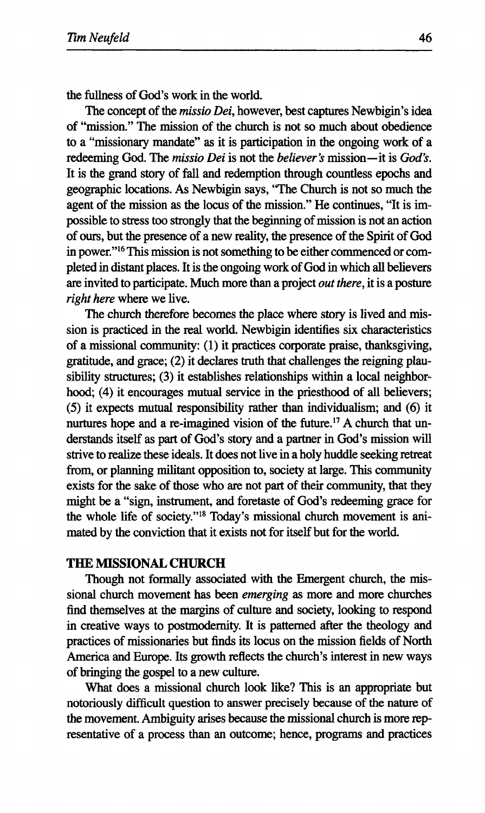the fullness of God's work in the world.

The concept of the *missio Dei,* however, best captures Newbigin's idea of "mission." The mission of the church is not so much about obedience to a "missionary mandate" as it is participation in the ongoing work of a redeeming God. The *missio Dei* is not the *believer's* mission—it is *God's.*  It is the grand story of fall and redemption through countless epochs and geographic locations. As Newbigin says, "The Church is not so much the agent of the mission as the locus of the mission." He continues, "It is impossible to stress too strongly that the beginning of mission is not an action of ours, but the presence of a new reality, the presence of the Spirit of God in power."<sup>16</sup> This mission is not something to be either commenced or completed in distant places. It is the ongoing work of God in which all believers are invited to participate. Much more than a project *out there,* it is a posture *right here* where we live.

The church therefore becomes the place where story is lived and mission is practiced in the real world. Newbigin identifies six characteristics of a missional community: (1) it practices corporate praise, thanksgiving, gratitude, and grace; (2) it declares truth that challenges the reigning plausibility structures; (3) it establishes relationships within a local neighborhood; (4) it encourages mutual service in the priesthood of all believers; (5) it expects mutual responsibility rather than individualism; and (6) it nurtures hope and a re-imagined vision of the future.<sup>17</sup> A church that understands itself as part of God's story and a partner in God's mission will strive to realize these ideals. It does not live in a holy huddle seeking retreat from, or planning militant opposition to, society at large. This community exists for the sake of those who are not part of their community, that they might be a "sign, instrument, and foretaste of God's redeeming grace for the whole life of society."<sup>18</sup> Today's missional church movement is animated by the conviction that it exists not for itself but for the world.

#### **THE MISSIONAL CHURCH**

Though not formally associated with the Emergent church, the missional church movement has been *emerging* as more and more churches find themselves at the margins of culture and society, looking to respond in creative ways to postmodernity. It is patterned after the theology and practices of missionaries but finds its locus on the mission fields of North America and Europe. Its growth reflects the church's interest in new ways of bringing the gospel to a new culture.

What does a missional church look like? This is an appropriate but notoriously difficult question to answer precisely because of the nature of the movement. Ambiguity arises because the missional church is more representative of a process than an outcome; hence, programs and practices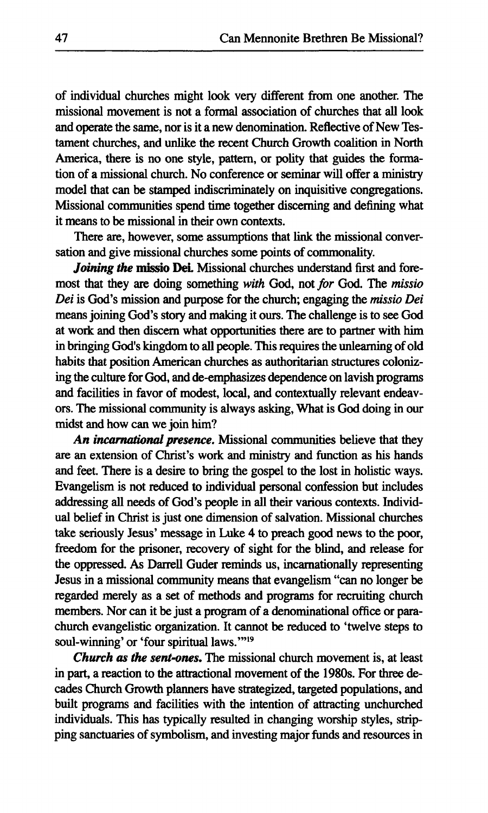of individual churches might look very different from one another. The missional movement is not a formal association of churches that all look and operate the same, nor is it a new denomination. Reflective of New Testament churches, and unlike the recent Church Growth coalition in North America, there is no one style, pattern, or polity that guides the formation of a missional church. No conference or seminar will offer a ministry model that can be stamped mdiscriminately on inquisitive congregations. Missional communities spend time together discerning and defining what it means to be missional in their own contexts.

There are, however, some assumptions that link the missional conversation and give missional churches some points of commonality.

*Joining the* **missio Del** Missional churches understand first and foremost that they are doing something *with* God, not *for* God. The *missio Dei* is God's mission and purpose for the church; engaging the *missio Dei*  means joining God's story and making it ours. The challenge is to see God at work and then discern what opportunities there are to partner with him in bringing God's kingdom to all people. This requires the unlearning of old habits that position American churches as authoritarian structures colonizing the culture for God, and de-emphasizes dependence on lavish programs and facilities in favor of modest, local, and contextually relevant endeavors. The missional community is always asking, What is God doing in our midst and how can we join him?

*An incarnational presence.* Missional communities believe that they are an extension of Christ's work and ministry and function as his hands and feet. There is a desire to bring the gospel to the lost in holistic ways. Evangelism is not reduced to individual personal confession but includes addressing all needs of God's people in all their various contexts. Individual belief in Christ is just one dimension of salvation. Missional churches take seriously Jesus' message in Luke 4 to preach good news to the poor, freedom for the prisoner, recovery of sight for the blind, and release for the oppressed. As Darrell Guder reminds us, incarnationally representing Jesus in a missional community means that evangelism "can no longer be regarded merely as a set of methods and programs for recruiting church members. Nor can it be just a program of a denominational office or parachurch evangelistic organization. It cannot be reduced to 'twelve steps to soul-winning' or 'four spiritual laws.'"<sup>19</sup>

*Church as the sent-ones.* The missional church movement is, at least in part, a reaction to the attractional movement of the 1980s. For three decades Church Growth planners have strategized, targeted populations, and built programs and facilities with the intention of attracting unchurched individuals. This has typically resulted in changing worship styles, stripping sanctuaries of symbolism, and investing major funds and resources in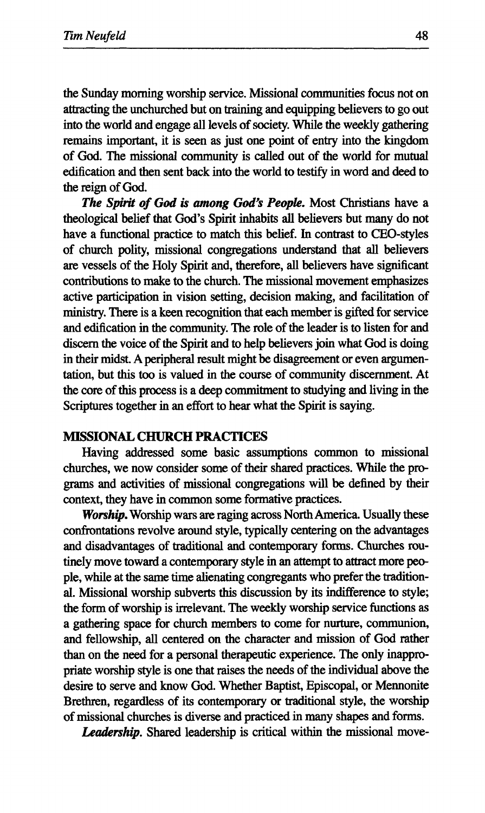the Sunday morning worship service. Missional communities focus not on attracting the unchurched but on training and equipping believers to go out into the world and engage all levels of society. While the weekly gathering remains important, it is seen as just one point of entry into the kingdom of God. The missional community is called out of the world for mutual edification and then sent back into the world to testify in word and deed to the reign of God.

*The Spirit of God is among God's People.* Most Christians have a theological belief that God's Spirit inhabits all believers but many do not have a functional practice to match this belief. In contrast to CEO-styles of church polity, missional congregations understand that all believers are vessels of the Holy Spirit and, therefore, all believers have significant contributions to make to the church. The missional movement emphasizes active participation in vision setting, decision making, and facilitation of ministry. There is a keen recognition that each member is gifted for service and edification in the community. The role of the leader is to listen for and discern the voice of the Spirit and to help believers join what God is doing in their midst. A peripheral result might be disagreement or even argumentation, but this too is valued in the course of community discernment. At the core of this process is a deep commitment to studying and living in the Scriptures together in an effort to hear what the Spirit is saying.

#### **MISSIONAL CHURCH PRACTICES**

Having addressed some basic assumptions common to missional churches, we now consider some of their shared practices. While the programs and activities of missional congregations will be defined by their context, they have in common some formative practices.

*Worship.* Worship wars are raging across North America. Usually these confrontations revolve around style, typically centering on the advantages and disadvantages of traditional and contemporary forms. Churches routinely move toward a contemporary style in an attempt to attract more people, while at the same time alienating congregants who prefer the traditional. Missional worship subverts this discussion by its indifference to style; the form of worship is irrelevant. The weekly worship service functions as a gathering space for church members to come for nurture, communion, and fellowship, all centered on the character and mission of God rather than on the need for a personal therapeutic experience. The only inappropriate worship style is one that raises the needs of the individual above the desire to serve and know God. Whether Baptist, Episcopal, or Mennonite Brethren, regardless of its contemporary or traditional style, the worship of missional churches is diverse and practiced in many shapes and forms.

*Leadership.* Shared leadership is critical within the missional move-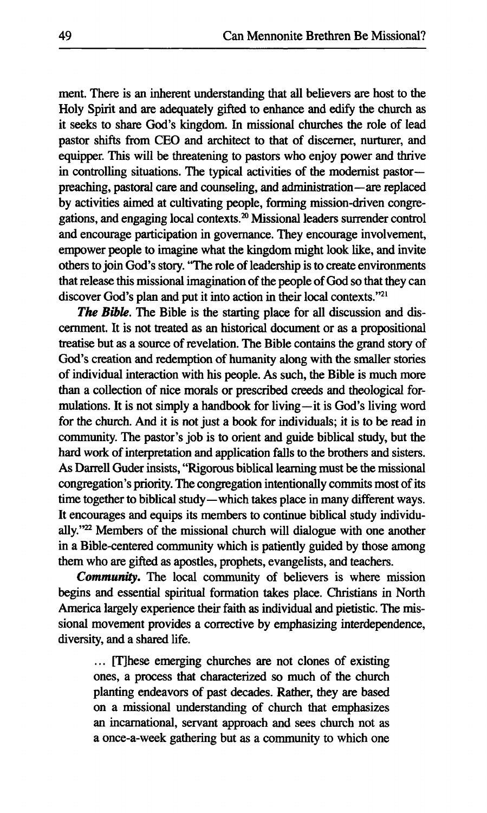ment. There is an inherent understanding that all believers are host to the Holy Spirit and are adequately gifted to enhance and edify the church as it seeks to share God's kingdom. In missional churches the role of lead pastor shifts from CEO and architect to that of discerner, nurturer, and equipper. This will be threatening to pastors who enjoy power and thrive in controlling situations. The typical activities of the modernist pastorpreaching, pastoral care and counseling, and administration-—are replaced by activities aimed at cultivating people, forming mission-driven congregations, and engaging local contexts.<sup>20</sup> Missional leaders surrender control and encourage participation in governance. They encourage involvement, empower people to imagine what the kingdom might look like, and invite others to join God's story. "The role of leadership is to create environments that release this missional imagination of the people of God so that they can discover God's plan and put it into action in their local contexts."<sup>21</sup>

*The Bible.* The Bible is the starting place for all discussion and discernment. It is not treated as an historical document or as a propositional treatise but as a source of revelation. The Bible contains the grand story of God's creation and redemption of humanity along with the smaller stories of individual interaction with his people. As such, the Bible is much more than a collection of nice morals or prescribed creeds and theological formulations. It is not simply a handbook for living—it is God's living word for the church. And it is not just a book for individuals; it is to be read in community. The pastor's job is to orient and guide biblical study, but the hard work of interpretation and application falls to the brothers and sisters. As Darrell Guder insists, "Rigorous biblical learning must be the missional congregation's priority. The congregation intentionally commits most of its time together to biblical study—which takes place in many different ways. It encourages and equips its members to continue biblical study individually."<sup>22</sup> Members of the missional church will dialogue with one another in a Bible-centered community which is patiently guided by those among them who are gifted as apostles, prophets, evangelists, and teachers.

*Community.* The local community of believers is where mission begins and essential spiritual formation takes place. Christians in North America largely experience their faith as individual and pietistic. The missional movement provides a corrective by emphasizing interdependence, diversity, and a shared life.

... [T]hese emerging churches are not clones of existing ones, a process that characterized so much of the church planting endeavors of past decades. Rather, they are based on a missional understanding of church that emphasizes an incarnational, servant approach and sees church not as a once-a-week gathering but as a community to which one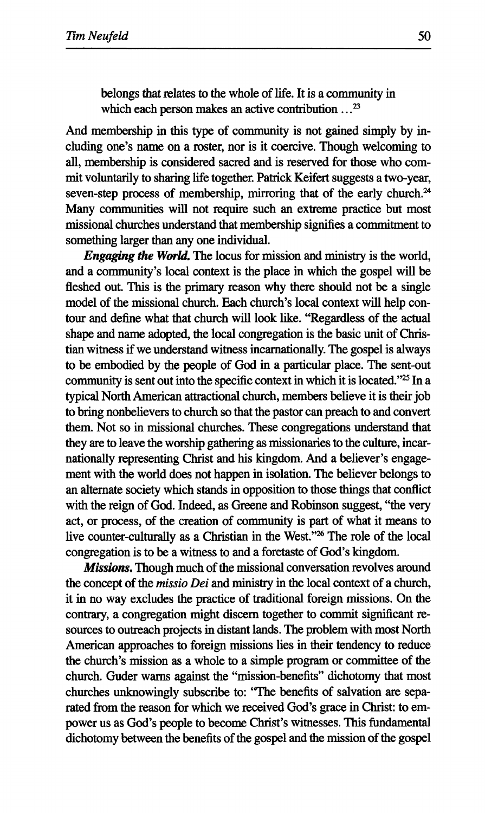belongs that relates to the whole of life. It is a community in which each person makes an active contribution ...<sup>23</sup>

And membership in this type of community is not gained simply by including one's name on a roster, nor is it coercive. Though welcoming to all, membership is considered sacred and is reserved for those who commit voluntarily to sharing life together. Patrick Keifert suggests a two-year, seven-step process of membership, mirroring that of the early church.<sup>24</sup> Many communities will not require such an extreme practice but most missional churches understand that membership signifies a commitment to something larger than any one individual.

*Engaging the World.* The locus for mission and ministry is the world, and a community's local context is the place in which the gospel will be fleshed out. This is the primary reason why there should not be a single model of the missional church. Each church's local context will help contour and define what that church will look like. "Regardless of the actual shape and name adopted, the local congregation is the basic unit of Christian witness if we understand witness incarnationally. The gospel is always to be embodied by the people of God in a particular place. The sent-out community is sent out into the specific context in which it is located."<sup>25</sup> In a typical North American attractional church, members believe it is their job to bring nonbelievers to church so that the pastor can preach to and convert them. Not so in missional churches. These congregations understand that they are to leave the worship gathering as missionaries to the culture, incarnationally representing Christ and his kingdom. And a believer's engagement with the world does not happen in isolation. The believer belongs to an alternate society which stands in opposition to those things that conflict with the reign of God. Indeed, as Greene and Robinson suggest, "the very act, or process, of the creation of community is part of what it means to live counter-culturally as a Christian in the West."<sup>26</sup> The role of the local congregation is to be a witness to and a foretaste of God's kingdom.

*Missions.* Though much of the missional conversation revolves around the concept of the *missio Dei* and ministry in the local context of a church, it in no way excludes the practice of traditional foreign missions. On the contrary, a congregation might discern together to commit significant resources to outreach projects in distant lands. The problem with most North American approaches to foreign missions lies in their tendency to reduce the church's mission as a whole to a simple program or committee of the church. Guder warns against the "mission-benefits" dichotomy that most churches unknowingly subscribe to: "The benefits of salvation are separated from the reason for which we received God's grace in Christ: to empower us as God's people to become Christ's witnesses. This fundamental dichotomy between the benefits of the gospel and the mission of the gospel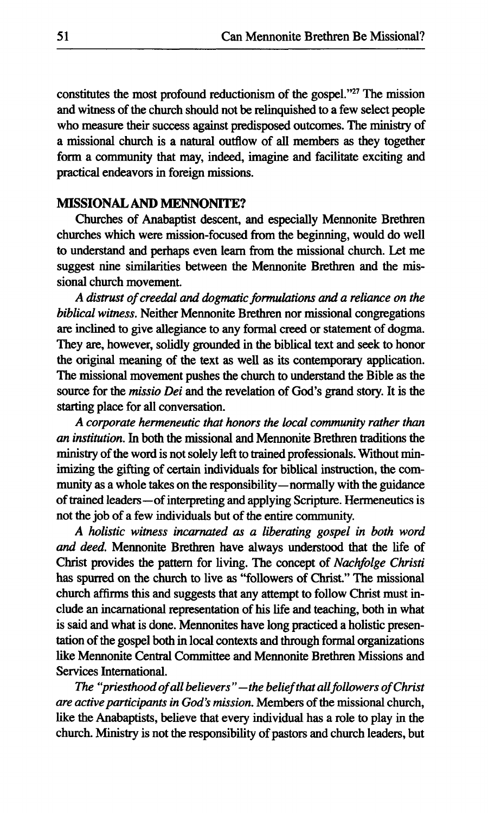constitutes the most profound reductionism of the gospel."<sup>27</sup> The mission and witness of the church should not be relinquished to a few select people who measure their success against predisposed outcomes. The ministry of a missional church is a natural outflow of all members as they together form a community that may, indeed, imagine and facilitate exciting and practical endeavors in foreign missions.

### **MISSIONAL AND MENNONITE?**

Churches of Anabaptist descent, and especially Mennonite Brethren churches which were mission-focused from the beginning, would do well to understand and perhaps even learn from the missional church. Let me suggest nine similarities between the Mennonite Brethren and the missional church movement.

A distrust of creedal and dogmatic formulations and a reliance on the *biblical witness.* Neither Mennonite Brethren nor missional congregations are inclined to give allegiance to any formal creed or statement of dogma. They are, however, solidly grounded in the biblical text and seek to honor the original meaning of the text as well as its contemporary application. The missional movement pushes the church to understand the Bible as the source for the *missio Dei* and the revelation of God's grand story. It is the starting place for all conversation.

*A corporate hermeneutic that honors the local community rather than an institution.* In both the missional and Mennonite Brethren traditions the ministry of the word is not solely left to trained professionals. Without minimizing the gifting of certain individuals for biblical instruction, the community as a whole takes on the responsibility—normally with the guidance of trained leaders—of interpreting and applying Scripture. Hermeneutics is not the job of a few individuals but of the entire community.

*A holistic witness incarnated as a liberating gospel in both word and deed.* Mennonite Brethren have always understood that the life of Christ provides the pattern for living. The concept of *Nachfolge Christi*  has spurred on the church to live as "followers of Christ." The missional church affirms this and suggests that any attempt to follow Christ must include an incarnational representation of his life and teaching, both in what is said and what is done. Mennonites have long practiced a holistic presentation of the gospel both in local contexts and through formal organizations like Mennonite Central Committee and Mennonite Brethren Missions and Services International.

*The "priesthood of all believers "—the belief that all followers of Christ*  are active participants in God's mission. Members of the missional church, like the Anabaptists, believe that every individual has a role to play in the church. Ministry is not the responsibility of pastors and church leaders, but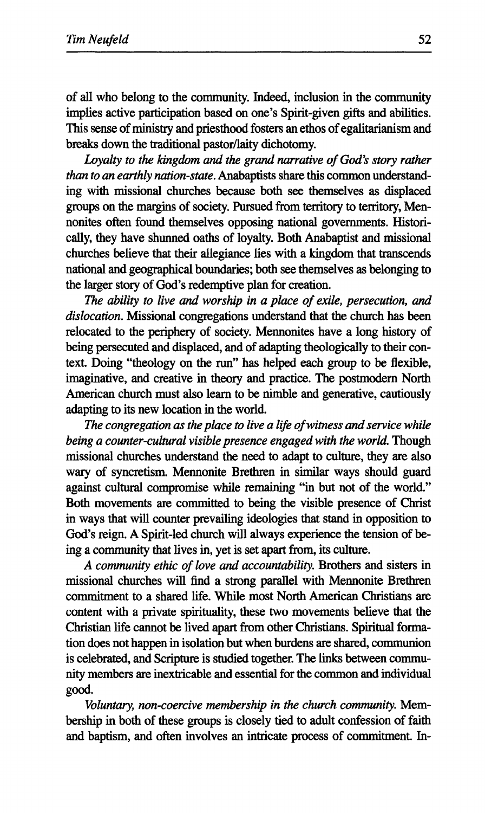of all who belong to the community. Indeed, inclusion in the community implies active participation based on one's Spirit-given gifts and abilities. This sense of ministry and priesthood fosters an ethos of egalitarianism and breaks down the traditional pastor/laity dichotomy.

*Loyalty to the kingdom and the grand narrative of God's story rather than to an earthly nation-state.* Anabaptists share this common understanding with missional churches because both see themselves as displaced groups on the margins of society. Pursued from territory to territory, Mennonites often found themselves opposing national governments. Historically, they have shunned oaths of loyalty. Both Anabaptist and missional churches believe that their allegiance lies with a kingdom that transcends national and geographical boundaries; both see themselves as belonging to the larger story of God's redemptive plan for creation.

*The ability to live and worship in a place of exile, persecution, and dislocation.* Missional congregations understand that the church has been relocated to the periphery of society. Mennonites have a long history of being persecuted and displaced, and of adapting theologically to their context. Doing "theology on the run" has helped each group to be flexible, imaginative, and creative in theory and practice. The postmodern North American church must also learn to be nimble and generative, cautiously adapting to its new location in the world.

*The congregation as the place to live a life of witness and service while being a counter-cultural visible presence engaged with the world.* Though missional churches understand the need to adapt to culture, they are also wary of syncretism. Mennonite Brethren in similar ways should guard against cultural compromise while remaining "in but not of the world." Both movements are committed to being the visible presence of Christ in ways that will counter prevailing ideologies that stand in opposition to God's reign. A Spirit-led church will always experience the tension of being a community that lives in, yet is set apart from, its culture.

*A community ethic of love and accountability.* Brothers and sisters in missional churches will find a strong parallel with Mennonite Brethren commitment to a shared life. While most North American Christians are content with a private spirituality, these two movements believe that the Christian life cannot be lived apart from other Christians. Spiritual formation does not happen in isolation but when burdens are shared, communion is celebrated, and Scripture is studied together. The links between community members are inextricable and essential for the common and individual good.

*Voluntary, non-coercive membership in the church community.* Membership in both of these groups is closely tied to adult confession of faith and baptism, and often involves an intricate process of commitment. In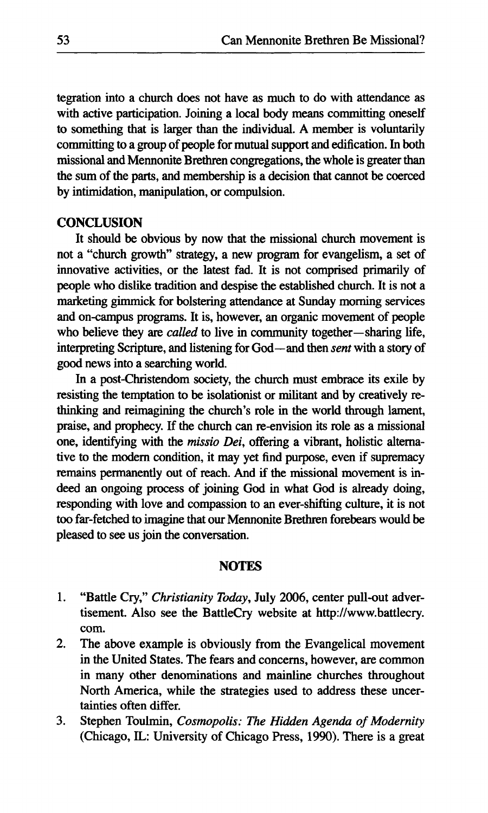tegration into a church does not have as much to do with attendance as with active participation. Joining a local body means committing oneself to something that is larger than the individual. A member is voluntarily committing to a group of people for mutual support and edification. In both missional and Mennonite Brethren congregations, the whole is greater than the sum of the parts, and membership is a decision that cannot be coerced by intimidation, manipulation, or compulsion.

#### **CONCLUSION**

It should be obvious by now that the missional church movement is not a "church growth" strategy, a new program for evangelism, a set of innovative activities, or the latest fad. It is not comprised primarily of people who dislike tradition and despise the established church. It is not a marketing gimmick for bolstering attendance at Sunday morning services and on-campus programs. It is, however, an organic movement of people who believe they are *called* to live in community together—sharing life, interpreting Scripture, and listening for God—and then *sent* with a story of good news into a searching world.

In a post-Christendom society, the church must embrace its exile by resisting the temptation to be isolationist or militant and by creatively rethinking and reimagining the church's role in the world through lament, praise, and prophecy. If the church can re-envision its role as a missional one, identifying with the *missio Dei,* offering a vibrant, holistic alternative to the modern condition, it may yet find purpose, even if supremacy remains permanently out of reach. And if the missional movement is indeed an ongoing process of joining God in what God is already doing, responding with love and compassion to an ever-shifting culture, it is not too far-fetched to imagine that our Mennonite Brethren forebears would be pleased to see us join the conversation.

#### **NOTES**

- 1. "Battle Cry," *Christianity Today,* July 2006, center pull-out advertisement. Also see the BattleCry website at [http://www.battlecry.](http://www.battlecry) com.
- 2. The above example is obviously from the Evangelical movement in the United States. The fears and concerns, however, are common in many other denominations and mainline churches throughout North America, while the strategies used to address these uncertainties often differ.
- 3. Stephen Toulmin, *Cosmopolis: The Hidden Agenda of Modernity*  (Chicago, IL: University of Chicago Press, 1990). There is a great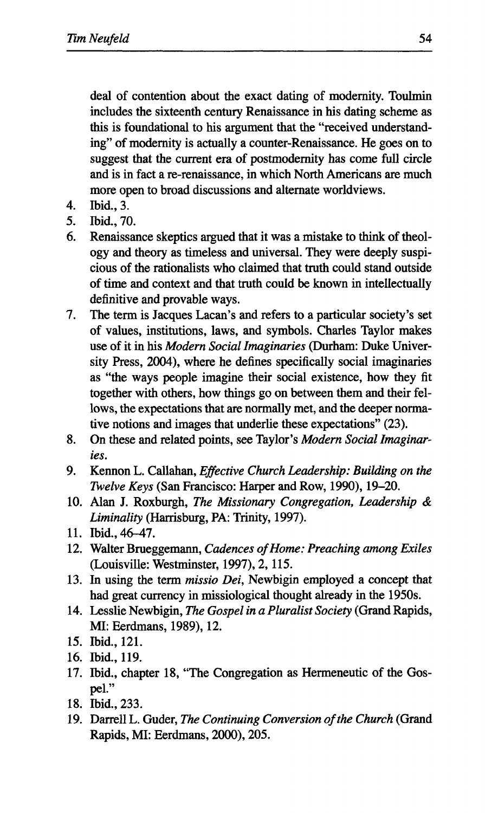deal of contention about the exact dating of modernity. Toulmin includes the sixteenth century Renaissance in his dating scheme as this is foundational to his argument that the "received understanding" of modernity is actually a counter-Renaissance. He goes on to suggest that the current era of postmodernity has come full circle and is in fact a re-renaissance, in which North Americans are much more open to broad discussions and alternate worldviews.

- 4. Ibid., 3.
- 5. Ibid., 70.
- 6. Renaissance skeptics argued that it was a mistake to think of theology and theory as timeless and universal. They were deeply suspicious of the rationalists who claimed that truth could stand outside of time and context and that truth could be known in intellectually definitive and provable ways.
- 7. The term is Jacques Lacan's and refers to a particular society's set of values, institutions, laws, and symbols. Charles Taylor makes use of it in his *Modern Social Imaginarles* (Durham: Duke University Press, 2004), where he defines specifically social imaginaries as "the ways people imagine their social existence, how they fit together with others, how things go on between them and their fellows, the expectations that are normally met, and the deeper normative notions and images that underlie these expectations" (23).
- 8. On these and related points, see Taylor's *Modern Social Imaginarles.*
- 9. Kennon L. Callahan, *Effective Church Leadership: Building on the Twelve Keys* (San Francisco: Harper and Row, 1990), 19-20.
- 10. Alan J. Roxburgh, *The Missionary Congregation, Leadership & Liminality* (Harrisburg, PA: Trinity, 1997).
- 11. Ibid., 46-47.
- 12. Walter Brueggemann, *Cadences of Home: Preaching among Exiles*  (Louisville: Westminster, 1997), 2,115.
- 13. In using the term *missio Dei,* Newbigin employed a concept that had great currency in missiological thought already in the 1950s.
- 14. Lesslie Newbigin, *The Gospel in a Pluralist Society* (Grand Rapids, MI: Eerdmans, 1989), 12.
- 15. Ibid., 121.
- 16. Ibid., 119.
- 17. Ibid., chapter 18, "The Congregation as Hermeneutic of the Gospel."
- 18. Ibid., 233.
- 19. Darreil L. Guder, *The Continuing Conversion of the Church* (Grand Rapids, MI: Eerdmans, 2000), 205.